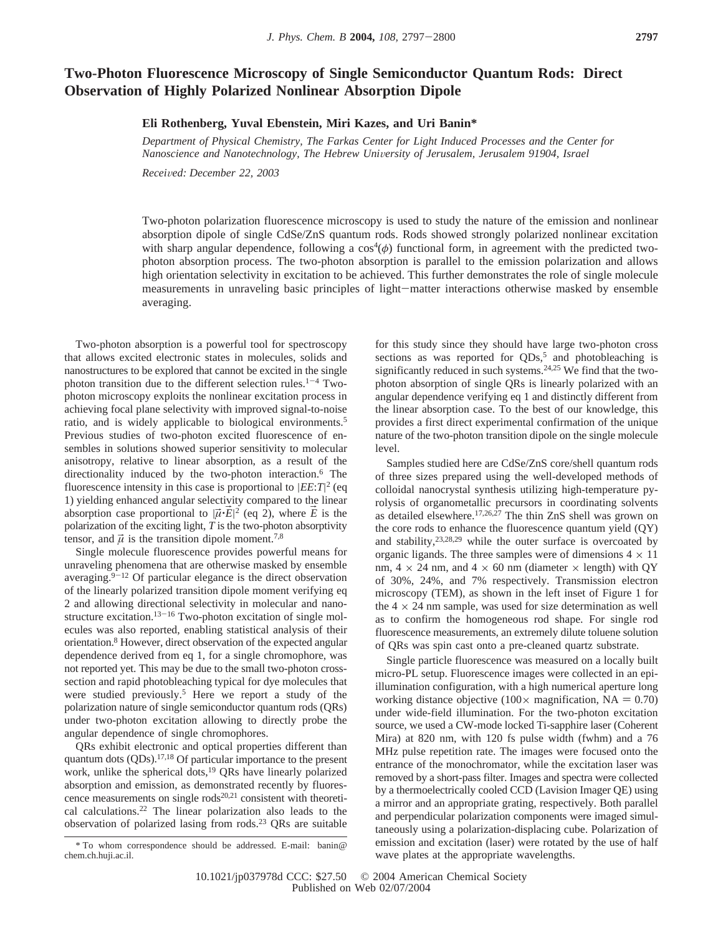## **Two-Photon Fluorescence Microscopy of Single Semiconductor Quantum Rods: Direct Observation of Highly Polarized Nonlinear Absorption Dipole**

## **Eli Rothenberg, Yuval Ebenstein, Miri Kazes, and Uri Banin\***

*Department of Physical Chemistry, The Farkas Center for Light Induced Processes and the Center for Nanoscience and Nanotechnology, The Hebrew University of Jerusalem, Jerusalem 91904, Israel* 

*Recei*V*ed: December 22, 2003*

Two-photon polarization fluorescence microscopy is used to study the nature of the emission and nonlinear absorption dipole of single CdSe/ZnS quantum rods. Rods showed strongly polarized nonlinear excitation with sharp angular dependence, following a cos<sup>4</sup>(φ) functional form, in agreement with the predicted twophoton absorption process. The two-photon absorption is parallel to the emission polarization and allows high orientation selectivity in excitation to be achieved. This further demonstrates the role of single molecule measurements in unraveling basic principles of light-matter interactions otherwise masked by ensemble averaging.

Two-photon absorption is a powerful tool for spectroscopy that allows excited electronic states in molecules, solids and nanostructures to be explored that cannot be excited in the single photon transition due to the different selection rules.<sup>1-4</sup> Twophoton microscopy exploits the nonlinear excitation process in achieving focal plane selectivity with improved signal-to-noise ratio, and is widely applicable to biological environments.5 Previous studies of two-photon excited fluorescence of ensembles in solutions showed superior sensitivity to molecular anisotropy, relative to linear absorption, as a result of the directionality induced by the two-photon interaction.<sup>6</sup> The fluorescence intensity in this case is proportional to |*EE*:*T*| <sup>2</sup> (eq 1) yielding enhanced angular selectivity compared to the linear absorption case proportional to  $|\vec{\mu} \cdot \vec{E}|^2$  (eq 2), where  $\vec{E}$  is the polarization of the exciting light. T is the two-photon absorptivity polarization of the exciting light, *T* is the two-photon absorptivity tensor, and  $\vec{\mu}$  is the transition dipole moment.<sup>7,8</sup>

Single molecule fluorescence provides powerful means for unraveling phenomena that are otherwise masked by ensemble averaging. $9-12$  Of particular elegance is the direct observation of the linearly polarized transition dipole moment verifying eq 2 and allowing directional selectivity in molecular and nanostructure excitation.<sup>13-16</sup> Two-photon excitation of single molecules was also reported, enabling statistical analysis of their orientation.8 However, direct observation of the expected angular dependence derived from eq 1, for a single chromophore, was not reported yet. This may be due to the small two-photon crosssection and rapid photobleaching typical for dye molecules that were studied previously.5 Here we report a study of the polarization nature of single semiconductor quantum rods (QRs) under two-photon excitation allowing to directly probe the angular dependence of single chromophores.

QRs exhibit electronic and optical properties different than quantum dots (QDs).<sup>17,18</sup> Of particular importance to the present work, unlike the spherical dots,<sup>19</sup> QRs have linearly polarized absorption and emission, as demonstrated recently by fluorescence measurements on single rods<sup>20,21</sup> consistent with theoretical calculations.22 The linear polarization also leads to the observation of polarized lasing from rods.23 QRs are suitable

\* To whom correspondence should be addressed. E-mail: banin@ chem.ch.huji.ac.il.

for this study since they should have large two-photon cross sections as was reported for  $QDs$ ,<sup>5</sup> and photobleaching is significantly reduced in such systems.24,25 We find that the twophoton absorption of single QRs is linearly polarized with an angular dependence verifying eq 1 and distinctly different from the linear absorption case. To the best of our knowledge, this provides a first direct experimental confirmation of the unique nature of the two-photon transition dipole on the single molecule level.

Samples studied here are CdSe/ZnS core/shell quantum rods of three sizes prepared using the well-developed methods of colloidal nanocrystal synthesis utilizing high-temperature pyrolysis of organometallic precursors in coordinating solvents as detailed elsewhere.<sup>17,26,27</sup> The thin ZnS shell was grown on the core rods to enhance the fluorescence quantum yield (QY) and stability,23,28,29 while the outer surface is overcoated by organic ligands. The three samples were of dimensions  $4 \times 11$ nm,  $4 \times 24$  nm, and  $4 \times 60$  nm (diameter  $\times$  length) with OY of 30%, 24%, and 7% respectively. Transmission electron microscopy (TEM), as shown in the left inset of Figure 1 for the  $4 \times 24$  nm sample, was used for size determination as well as to confirm the homogeneous rod shape. For single rod fluorescence measurements, an extremely dilute toluene solution of QRs was spin cast onto a pre-cleaned quartz substrate.

Single particle fluorescence was measured on a locally built micro-PL setup. Fluorescence images were collected in an epiillumination configuration, with a high numerical aperture long working distance objective (100 $\times$  magnification, NA = 0.70) under wide-field illumination. For the two-photon excitation source, we used a CW-mode locked Ti-sapphire laser (Coherent Mira) at 820 nm, with 120 fs pulse width (fwhm) and a 76 MHz pulse repetition rate. The images were focused onto the entrance of the monochromator, while the excitation laser was removed by a short-pass filter. Images and spectra were collected by a thermoelectrically cooled CCD (Lavision Imager QE) using a mirror and an appropriate grating, respectively. Both parallel and perpendicular polarization components were imaged simultaneously using a polarization-displacing cube. Polarization of emission and excitation (laser) were rotated by the use of half wave plates at the appropriate wavelengths.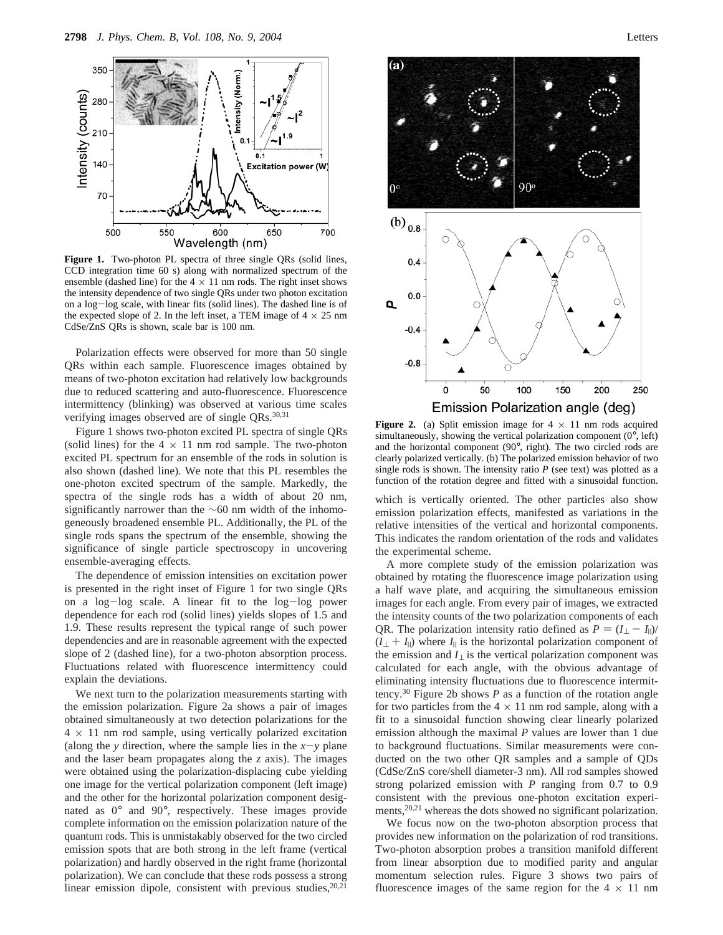

**Figure 1.** Two-photon PL spectra of three single QRs (solid lines, CCD integration time 60 s) along with normalized spectrum of the ensemble (dashed line) for the  $4 \times 11$  nm rods. The right inset shows the intensity dependence of two single QRs under two photon excitation on a log-log scale, with linear fits (solid lines). The dashed line is of the expected slope of 2. In the left inset, a TEM image of  $4 \times 25$  nm CdSe/ZnS QRs is shown, scale bar is 100 nm.

Polarization effects were observed for more than 50 single QRs within each sample. Fluorescence images obtained by means of two-photon excitation had relatively low backgrounds due to reduced scattering and auto-fluorescence. Fluorescence intermittency (blinking) was observed at various time scales verifying images observed are of single  $QRs$ .<sup>30,31</sup>

Figure 1 shows two-photon excited PL spectra of single QRs (solid lines) for the  $4 \times 11$  nm rod sample. The two-photon excited PL spectrum for an ensemble of the rods in solution is also shown (dashed line). We note that this PL resembles the one-photon excited spectrum of the sample. Markedly, the spectra of the single rods has a width of about 20 nm, significantly narrower than the ∼60 nm width of the inhomogeneously broadened ensemble PL. Additionally, the PL of the single rods spans the spectrum of the ensemble, showing the significance of single particle spectroscopy in uncovering ensemble-averaging effects.

The dependence of emission intensities on excitation power is presented in the right inset of Figure 1 for two single QRs on a log-log scale. A linear fit to the log-log power dependence for each rod (solid lines) yields slopes of 1.5 and 1.9. These results represent the typical range of such power dependencies and are in reasonable agreement with the expected slope of 2 (dashed line), for a two-photon absorption process. Fluctuations related with fluorescence intermittency could explain the deviations.

We next turn to the polarization measurements starting with the emission polarization. Figure 2a shows a pair of images obtained simultaneously at two detection polarizations for the  $4 \times 11$  nm rod sample, using vertically polarized excitation (along the *y* direction, where the sample lies in the  $x-y$  plane and the laser beam propagates along the *z* axis). The images were obtained using the polarization-displacing cube yielding one image for the vertical polarization component (left image) and the other for the horizontal polarization component designated as 0° and 90°, respectively. These images provide complete information on the emission polarization nature of the quantum rods. This is unmistakably observed for the two circled emission spots that are both strong in the left frame (vertical polarization) and hardly observed in the right frame (horizontal polarization). We can conclude that these rods possess a strong linear emission dipole, consistent with previous studies,  $20,21$ 



**Figure 2.** (a) Split emission image for  $4 \times 11$  nm rods acquired simultaneously, showing the vertical polarization component (0°, left) and the horizontal component (90°, right). The two circled rods are clearly polarized vertically. (b) The polarized emission behavior of two single rods is shown. The intensity ratio  $P$  (see text) was plotted as a function of the rotation degree and fitted with a sinusoidal function.

which is vertically oriented. The other particles also show emission polarization effects, manifested as variations in the relative intensities of the vertical and horizontal components. This indicates the random orientation of the rods and validates the experimental scheme.

A more complete study of the emission polarization was obtained by rotating the fluorescence image polarization using a half wave plate, and acquiring the simultaneous emission images for each angle. From every pair of images, we extracted the intensity counts of the two polarization components of each QR. The polarization intensity ratio defined as  $P = (I_{\perp} - I_{\parallel})/$  $(I_{\perp} + I_{\parallel})$  where  $I_{\parallel}$  is the horizontal polarization component of the emission and  $I_{\perp}$  is the vertical polarization component was calculated for each angle, with the obvious advantage of eliminating intensity fluctuations due to fluorescence intermittency.30 Figure 2b shows *P* as a function of the rotation angle for two particles from the  $4 \times 11$  nm rod sample, along with a fit to a sinusoidal function showing clear linearly polarized emission although the maximal *P* values are lower than 1 due to background fluctuations. Similar measurements were conducted on the two other QR samples and a sample of QDs (CdSe/ZnS core/shell diameter-3 nm). All rod samples showed strong polarized emission with *P* ranging from 0.7 to 0.9 consistent with the previous one-photon excitation experiments,<sup>20,21</sup> whereas the dots showed no significant polarization.

We focus now on the two-photon absorption process that provides new information on the polarization of rod transitions. Two-photon absorption probes a transition manifold different from linear absorption due to modified parity and angular momentum selection rules. Figure 3 shows two pairs of fluorescence images of the same region for the  $4 \times 11$  nm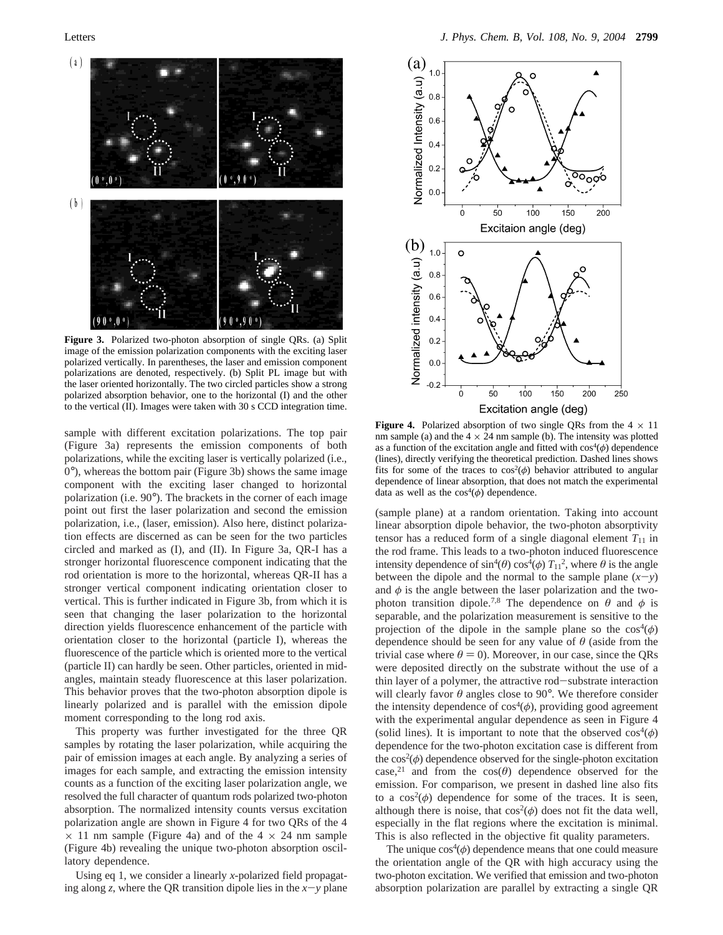

**Figure 3.** Polarized two-photon absorption of single QRs. (a) Split image of the emission polarization components with the exciting laser polarized vertically. In parentheses, the laser and emission component polarizations are denoted, respectively. (b) Split PL image but with the laser oriented horizontally. The two circled particles show a strong polarized absorption behavior, one to the horizontal (I) and the other to the vertical (II). Images were taken with 30 s CCD integration time.

sample with different excitation polarizations. The top pair (Figure 3a) represents the emission components of both polarizations, while the exciting laser is vertically polarized (i.e., 0°), whereas the bottom pair (Figure 3b) shows the same image component with the exciting laser changed to horizontal polarization (i.e. 90°). The brackets in the corner of each image point out first the laser polarization and second the emission polarization, i.e., (laser, emission). Also here, distinct polarization effects are discerned as can be seen for the two particles circled and marked as (I), and (II). In Figure 3a, QR-I has a stronger horizontal fluorescence component indicating that the rod orientation is more to the horizontal, whereas QR-II has a stronger vertical component indicating orientation closer to vertical. This is further indicated in Figure 3b, from which it is seen that changing the laser polarization to the horizontal direction yields fluorescence enhancement of the particle with orientation closer to the horizontal (particle I), whereas the fluorescence of the particle which is oriented more to the vertical (particle II) can hardly be seen. Other particles, oriented in midangles, maintain steady fluorescence at this laser polarization. This behavior proves that the two-photon absorption dipole is linearly polarized and is parallel with the emission dipole moment corresponding to the long rod axis.

This property was further investigated for the three QR samples by rotating the laser polarization, while acquiring the pair of emission images at each angle. By analyzing a series of images for each sample, and extracting the emission intensity counts as a function of the exciting laser polarization angle, we resolved the full character of quantum rods polarized two-photon absorption. The normalized intensity counts versus excitation polarization angle are shown in Figure 4 for two QRs of the 4  $\times$  11 nm sample (Figure 4a) and of the 4  $\times$  24 nm sample (Figure 4b) revealing the unique two-photon absorption oscillatory dependence.

Using eq 1, we consider a linearly *x*-polarized field propagating along *z*, where the QR transition dipole lies in the  $x-y$  plane



**Figure 4.** Polarized absorption of two single QRs from the  $4 \times 11$ nm sample (a) and the  $4 \times 24$  nm sample (b). The intensity was plotted as a function of the excitation angle and fitted with  $cos^4(\phi)$  dependence (lines), directly verifying the theoretical prediction. Dashed lines shows fits for some of the traces to  $cos^2(\phi)$  behavior attributed to angular dependence of linear absorption, that does not match the experimental data as well as the  $cos^4(\phi)$  dependence.

(sample plane) at a random orientation. Taking into account linear absorption dipole behavior, the two-photon absorptivity tensor has a reduced form of a single diagonal element  $T_{11}$  in the rod frame. This leads to a two-photon induced fluorescence intensity dependence of  $\sin^4(\theta) \cos^4(\phi) T_{11}^2$ , where  $\theta$  is the angle between the dipole and the normal to the sample plane  $(x-y)$ and  $\phi$  is the angle between the laser polarization and the twophoton transition dipole.<sup>7,8</sup> The dependence on  $\theta$  and  $\phi$  is separable, and the polarization measurement is sensitive to the projection of the dipole in the sample plane so the  $\cos^4(\phi)$ dependence should be seen for any value of *θ* (aside from the trivial case where  $\theta = 0$ ). Moreover, in our case, since the QRs were deposited directly on the substrate without the use of a thin layer of a polymer, the attractive rod-substrate interaction will clearly favor  $\theta$  angles close to 90 $^{\circ}$ . We therefore consider the intensity dependence of  $cos<sup>4</sup>(\phi)$ , providing good agreement with the experimental angular dependence as seen in Figure 4 (solid lines). It is important to note that the observed  $cos^4(\phi)$ dependence for the two-photon excitation case is different from the  $cos^2(\phi)$  dependence observed for the single-photon excitation case,<sup>21</sup> and from the  $cos(\theta)$  dependence observed for the emission. For comparison, we present in dashed line also fits to a  $cos^2(\phi)$  dependence for some of the traces. It is seen, although there is noise, that  $cos^2(\phi)$  does not fit the data well, especially in the flat regions where the excitation is minimal. This is also reflected in the objective fit quality parameters.

The unique  $cos^4(\phi)$  dependence means that one could measure the orientation angle of the QR with high accuracy using the two-photon excitation. We verified that emission and two-photon absorption polarization are parallel by extracting a single QR